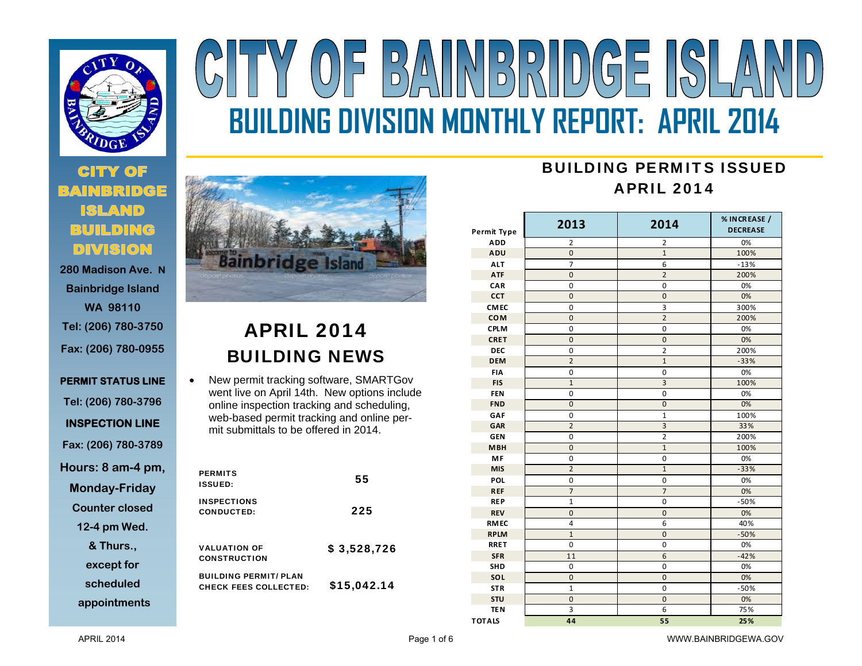

# **280 Madison Ave. N**

**Bainbridge Island WA 98110 Tel: (206) 780-3750 Fax: (206) 780-0955** 

**PERMIT STATUS LINE Tel: (206) 780-3796 INSPECTION LINE Fax: (206) 780-3789 Hours: 8 am-4 pm, Monday-Friday** 

**Counter closed** 

**12-4 pm Wed.** 

**& Thurs.,** 

**except for** 

**scheduled** 

**appointments**



 $(0)$  F

# APRIL 2014 BUILDING NEWS

 $\bullet$  New permit tracking software, SMARTGov went live on April 14th. New options include online inspection tracking and scheduling, web-based permit tracking and online permit submittals to be offered in 2014.

| <b>PERMITS</b><br><b>ISSUED:</b>                             | 55          |
|--------------------------------------------------------------|-------------|
| <b>INSPECTIONS</b><br>CONDUCTED:                             | 225         |
| <b>VALUATION OF</b><br><b>CONSTRUCTION</b>                   | \$3,528,726 |
| <b>BUILDING PERMIT/ PLAN</b><br><b>CHECK FEES COLLECTED:</b> | \$15,042.14 |

## BUILDING PERMITS ISSUEDAPRIL 2014

**BUILDING DIVISION MONTHLY REPORT: APRIL 2014** 

| <b>Permit Type</b> | 2013           | 2014                    | % IN CREASE /<br><b>DECREASE</b> |
|--------------------|----------------|-------------------------|----------------------------------|
| <b>ADD</b>         | 2              | 2                       | 0%                               |
| ADU                | $\overline{0}$ | $\mathbf{1}$            | 100%                             |
| <b>ALT</b>         | $\overline{7}$ | 6                       | $-13%$                           |
| <b>ATF</b>         | $\overline{0}$ | $\overline{2}$          | 200%                             |
| CAR                | 0              | 0                       | 0%                               |
| <b>CCT</b>         | $\mathbf 0$    | $\mathbf 0$             | 0%                               |
| <b>CMEC</b>        | 0              | 3                       | 300%                             |
| <b>COM</b>         | 0              | $\overline{2}$          | 200%                             |
| <b>CPLM</b>        | 0              | 0                       | 0%                               |
| <b>CRET</b>        | $\mathbf{0}$   | 0                       | 0%                               |
| <b>DEC</b>         | 0              | $\overline{2}$          | 200%                             |
| <b>DEM</b>         | $\overline{2}$ | $\mathbf{1}$            | $-33%$                           |
| <b>FIA</b>         | 0              | 0                       | 0%                               |
| <b>FIS</b>         | $\overline{1}$ | 3                       | 100%                             |
| <b>FEN</b>         | 0              | 0                       | 0%                               |
| <b>FND</b>         | $\overline{0}$ | $\overline{0}$          | 0%                               |
| GAF                | $\pmb{0}$      | $\overline{1}$          | 100%                             |
| <b>GAR</b>         | $\overline{2}$ | $\overline{3}$          | 33%                              |
| <b>GEN</b>         | 0              | $\overline{\mathbf{c}}$ | 200%                             |
| <b>MBH</b>         | $\overline{0}$ | $\overline{1}$          | 100%                             |
| <b>MF</b>          | $\pmb{0}$      | 0                       | 0%                               |
| <b>MIS</b>         | $\overline{2}$ | $\mathbf{1}$            | $-33%$                           |
| POL                | 0              | 0                       | 0%                               |
| <b>REF</b>         | $\overline{7}$ | $\overline{7}$          | 0%                               |
| <b>REP</b>         | $\mathbf{1}$   | 0                       | $-50%$                           |
| <b>REV</b>         | $\mathbf 0$    | $\mathbf 0$             | 0%                               |
| <b>RMEC</b>        | 4              | 6                       | 40%                              |
| <b>RPLM</b>        | $\mathbf{1}$   | $\mathbf 0$             | $-50%$                           |
| <b>RRET</b>        | $\pmb{0}$      | $\mathbf 0$             | 0%                               |
| <b>SFR</b>         | 11             | 6                       | $-42%$                           |
| SHD                | $\mathbf 0$    | 0                       | 0%                               |
| SOL                | $\overline{0}$ | $\overline{0}$          | 0%                               |
| <b>STR</b>         | $\overline{1}$ | 0                       | $-50%$                           |
| <b>STU</b>         | $\mathbf 0$    | $\mathbf 0$             | 0%                               |
| <b>TEN</b>         | 3              | 6                       | 75%                              |
| <b>TOTALS</b>      | 44             | 55                      | 25%                              |

APRIL 2014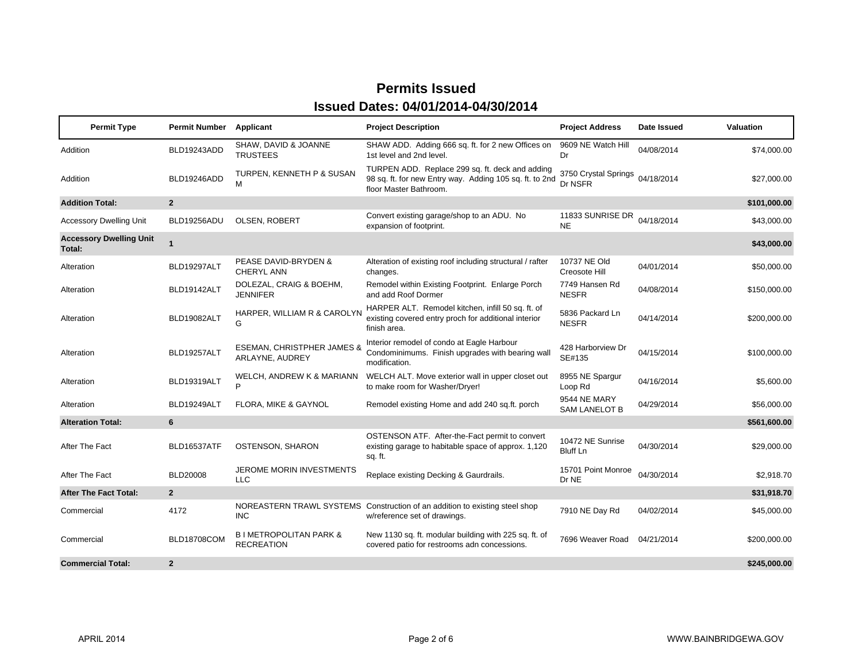| <b>Permit Type</b>                       | <b>Permit Number</b> | Applicant                                                | <b>Project Description</b>                                                                                                           | <b>Project Address</b>               | Date Issued | Valuation    |
|------------------------------------------|----------------------|----------------------------------------------------------|--------------------------------------------------------------------------------------------------------------------------------------|--------------------------------------|-------------|--------------|
| Addition                                 | BLD19243ADD          | SHAW, DAVID & JOANNE<br><b>TRUSTEES</b>                  | SHAW ADD. Adding 666 sq. ft. for 2 new Offices on<br>1st level and 2nd level.                                                        | 9609 NE Watch Hill<br>Dr             | 04/08/2014  | \$74,000.00  |
| Addition                                 | BLD19246ADD          | TURPEN, KENNETH P & SUSAN<br>м                           | TURPEN ADD. Replace 299 sq. ft. deck and adding<br>98 sq. ft. for new Entry way. Adding 105 sq. ft. to 2nd<br>floor Master Bathroom. | 3750 Crystal Springs<br>Dr NSFR      | 04/18/2014  | \$27,000.00  |
| <b>Addition Total:</b>                   | $\overline{2}$       |                                                          |                                                                                                                                      |                                      |             | \$101,000.00 |
| <b>Accessory Dwelling Unit</b>           | BLD19256ADU          | <b>OLSEN, ROBERT</b>                                     | Convert existing garage/shop to an ADU. No<br>expansion of footprint.                                                                | 11833 SUNRISE DR<br><b>NE</b>        | 04/18/2014  | \$43,000.00  |
| <b>Accessory Dwelling Unit</b><br>Total: | $\blacktriangleleft$ |                                                          |                                                                                                                                      |                                      |             | \$43,000.00  |
| Alteration                               | BLD19297ALT          | PEASE DAVID-BRYDEN &<br>CHERYL ANN                       | Alteration of existing roof including structural / rafter<br>changes.                                                                | 10737 NE Old<br>Creosote Hill        | 04/01/2014  | \$50,000.00  |
| Alteration                               | BLD19142ALT          | DOLEZAL, CRAIG & BOEHM,<br><b>JENNIFER</b>               | Remodel within Existing Footprint. Enlarge Porch<br>and add Roof Dormer                                                              | 7749 Hansen Rd<br><b>NESFR</b>       | 04/08/2014  | \$150,000.00 |
| Alteration                               | BLD19082ALT          | HARPER, WILLIAM R & CAROLYN<br>G                         | HARPER ALT. Remodel kitchen, infill 50 sq. ft. of<br>existing covered entry proch for additional interior<br>finish area.            | 5836 Packard Ln<br><b>NESFR</b>      | 04/14/2014  | \$200,000.00 |
| Alteration                               | BLD19257ALT          | <b>ESEMAN, CHRISTPHER JAMES &amp;</b><br>ARLAYNE, AUDREY | Interior remodel of condo at Eagle Harbour<br>Condominimums. Finish upgrades with bearing wall<br>modification.                      | 428 Harborview Dr<br>SE#135          | 04/15/2014  | \$100,000.00 |
| Alteration                               | BLD19319ALT          | WELCH, ANDREW K & MARIANN<br>P                           | WELCH ALT. Move exterior wall in upper closet out<br>to make room for Washer/Dryer!                                                  | 8955 NE Spargur<br>Loop Rd           | 04/16/2014  | \$5,600.00   |
| Alteration                               | BLD19249ALT          | FLORA, MIKE & GAYNOL                                     | Remodel existing Home and add 240 sq.ft. porch                                                                                       | 9544 NE MARY<br><b>SAM LANELOT B</b> | 04/29/2014  | \$56,000.00  |
| <b>Alteration Total:</b>                 | 6                    |                                                          |                                                                                                                                      |                                      |             | \$561,600.00 |
| After The Fact                           | BLD16537ATF          | OSTENSON, SHARON                                         | OSTENSON ATF. After-the-Fact permit to convert<br>existing garage to habitable space of approx. 1,120<br>sq. ft.                     | 10472 NE Sunrise<br><b>Bluff Ln</b>  | 04/30/2014  | \$29,000.00  |
| After The Fact                           | <b>BLD20008</b>      | JEROME MORIN INVESTMENTS<br><b>LLC</b>                   | Replace existing Decking & Gaurdrails.                                                                                               | 15701 Point Monroe<br>Dr NE          | 04/30/2014  | \$2,918.70   |
| <b>After The Fact Total:</b>             | $\overline{2}$       |                                                          |                                                                                                                                      |                                      |             | \$31,918.70  |
| Commercial                               | 4172                 | <b>INC</b>                                               | NOREASTERN TRAWL SYSTEMS Construction of an addition to existing steel shop<br>w/reference set of drawings.                          | 7910 NE Day Rd                       | 04/02/2014  | \$45,000.00  |
| Commercial                               | <b>BLD18708COM</b>   | <b>B I METROPOLITAN PARK &amp;</b><br><b>RECREATION</b>  | New 1130 sq. ft. modular building with 225 sq. ft. of<br>covered patio for restrooms adn concessions.                                | 7696 Weaver Road                     | 04/21/2014  | \$200,000.00 |
| <b>Commercial Total:</b>                 | $\overline{2}$       |                                                          |                                                                                                                                      |                                      |             | \$245,000.00 |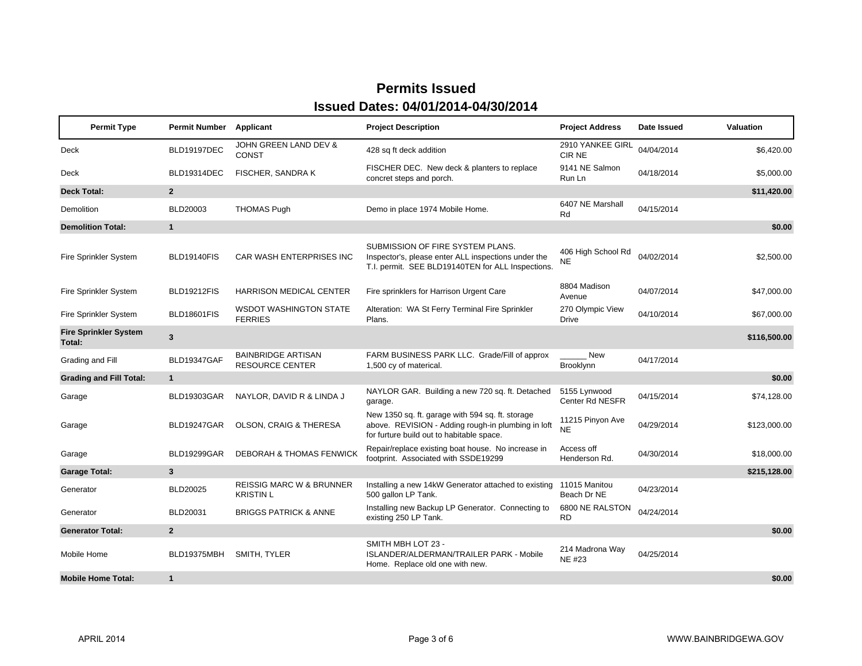| <b>Permit Type</b>                     | <b>Permit Number</b>    | Applicant                                               | <b>Project Description</b>                                                                                                                          | <b>Project Address</b>           | Date Issued | <b>Valuation</b> |
|----------------------------------------|-------------------------|---------------------------------------------------------|-----------------------------------------------------------------------------------------------------------------------------------------------------|----------------------------------|-------------|------------------|
| Deck                                   | BLD19197DEC             | JOHN GREEN LAND DEV &<br>CONST                          | 428 sq ft deck addition                                                                                                                             | 2910 YANKEE GIRL<br>CIR NE       | 04/04/2014  | \$6,420.00       |
| Deck                                   | BLD19314DEC             | FISCHER, SANDRA K                                       | FISCHER DEC. New deck & planters to replace<br>concret steps and porch.                                                                             | 9141 NE Salmon<br>Run Ln         | 04/18/2014  | \$5,000.00       |
| <b>Deck Total:</b>                     | $\overline{2}$          |                                                         |                                                                                                                                                     |                                  |             | \$11,420.00      |
| <b>Demolition</b>                      | <b>BLD20003</b>         | <b>THOMAS Pugh</b>                                      | Demo in place 1974 Mobile Home.                                                                                                                     | 6407 NE Marshall<br>Rd           | 04/15/2014  |                  |
| <b>Demolition Total:</b>               | $\mathbf{1}$            |                                                         |                                                                                                                                                     |                                  |             | \$0.00           |
| Fire Sprinkler System                  | BLD19140FIS             | <b>CAR WASH ENTERPRISES INC</b>                         | SUBMISSION OF FIRE SYSTEM PLANS.<br>Inspector's, please enter ALL inspections under the<br>T.I. permit. SEE BLD19140TEN for ALL Inspections.        | 406 High School Rd<br><b>NE</b>  | 04/02/2014  | \$2,500.00       |
| Fire Sprinkler System                  | <b>BLD19212FIS</b>      | <b>HARRISON MEDICAL CENTER</b>                          | Fire sprinklers for Harrison Urgent Care                                                                                                            | 8804 Madison<br>Avenue           | 04/07/2014  | \$47,000.00      |
| Fire Sprinkler System                  | BLD18601FIS             | <b>WSDOT WASHINGTON STATE</b><br><b>FERRIES</b>         | Alteration: WA St Ferry Terminal Fire Sprinkler<br>Plans.                                                                                           | 270 Olympic View<br><b>Drive</b> | 04/10/2014  | \$67,000.00      |
| <b>Fire Sprinkler System</b><br>Total: | $\overline{\mathbf{3}}$ |                                                         |                                                                                                                                                     |                                  |             | \$116,500.00     |
| Grading and Fill                       | <b>BLD19347GAF</b>      | <b>BAINBRIDGE ARTISAN</b><br><b>RESOURCE CENTER</b>     | FARM BUSINESS PARK LLC. Grade/Fill of approx<br>1,500 cy of materical.                                                                              | New<br>Brooklynn                 | 04/17/2014  |                  |
| <b>Grading and Fill Total:</b>         | $\mathbf{1}$            |                                                         |                                                                                                                                                     |                                  |             | \$0.00           |
| Garage                                 | <b>BLD19303GAR</b>      | NAYLOR, DAVID R & LINDA J                               | NAYLOR GAR. Building a new 720 sq. ft. Detached<br>garage.                                                                                          | 5155 Lynwood<br>Center Rd NESFR  | 04/15/2014  | \$74,128.00      |
| Garage                                 | BLD19247GAR             | OLSON, CRAIG & THERESA                                  | New 1350 sq. ft. garage with 594 sq. ft. storage<br>above. REVISION - Adding rough-in plumbing in loft<br>for furture build out to habitable space. | 11215 Pinyon Ave<br><b>NE</b>    | 04/29/2014  | \$123,000.00     |
| Garage                                 | <b>BLD19299GAR</b>      | <b>DEBORAH &amp; THOMAS FENWICK</b>                     | Repair/replace existing boat house. No increase in<br>footprint. Associated with SSDE19299                                                          | Access off<br>Henderson Rd.      | 04/30/2014  | \$18,000.00      |
| <b>Garage Total:</b>                   | 3                       |                                                         |                                                                                                                                                     |                                  |             | \$215,128.00     |
| Generator                              | <b>BLD20025</b>         | <b>REISSIG MARC W &amp; BRUNNER</b><br><b>KRISTIN L</b> | Installing a new 14kW Generator attached to existing<br>500 gallon LP Tank.                                                                         | 11015 Manitou<br>Beach Dr NE     | 04/23/2014  |                  |
| Generator                              | BLD20031                | <b>BRIGGS PATRICK &amp; ANNE</b>                        | Installing new Backup LP Generator. Connecting to<br>existing 250 LP Tank.                                                                          | 6800 NE RALSTON<br><b>RD</b>     | 04/24/2014  |                  |
| <b>Generator Total:</b>                | $\overline{2}$          |                                                         |                                                                                                                                                     |                                  |             | \$0.00           |
| Mobile Home                            | BLD19375MBH             | SMITH, TYLER                                            | SMITH MBH LOT 23 -<br>ISLANDER/ALDERMAN/TRAILER PARK - Mobile<br>Home. Replace old one with new.                                                    | 214 Madrona Way<br><b>NE #23</b> | 04/25/2014  |                  |
| <b>Mobile Home Total:</b>              | $\mathbf{1}$            |                                                         |                                                                                                                                                     |                                  |             | \$0.00           |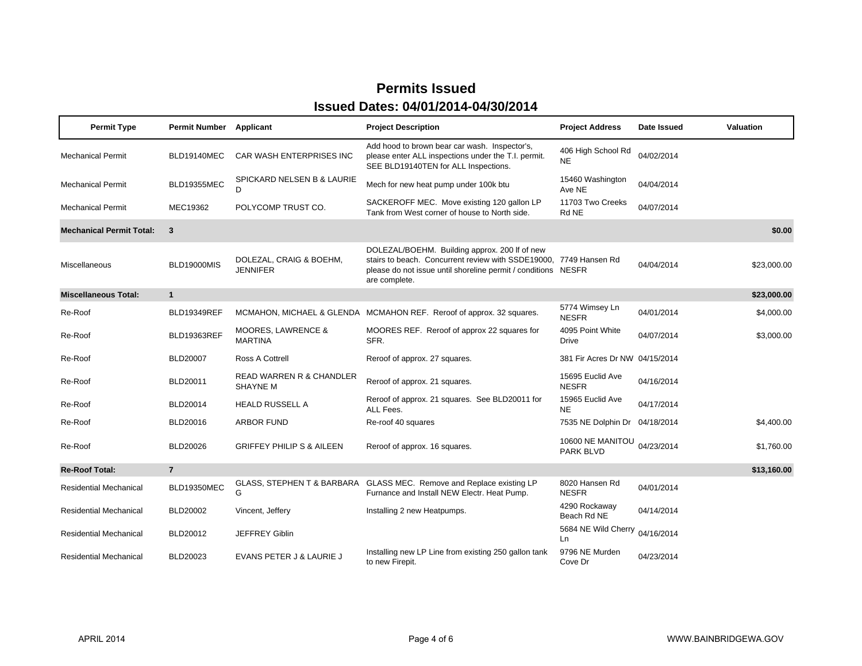| <b>Permit Type</b>              | <b>Permit Number</b> Applicant |                                                 | <b>Project Description</b>                                                                                                                                                                           | <b>Project Address</b>           | Date Issued | Valuation   |
|---------------------------------|--------------------------------|-------------------------------------------------|------------------------------------------------------------------------------------------------------------------------------------------------------------------------------------------------------|----------------------------------|-------------|-------------|
| <b>Mechanical Permit</b>        | BLD19140MEC                    | CAR WASH ENTERPRISES INC                        | Add hood to brown bear car wash. Inspector's,<br>please enter ALL inspections under the T.I. permit.<br>SEE BLD19140TEN for ALL Inspections.                                                         | 406 High School Rd<br><b>NE</b>  | 04/02/2014  |             |
| <b>Mechanical Permit</b>        | <b>BLD19355MEC</b>             | SPICKARD NELSEN B & LAURIE<br>D.                | Mech for new heat pump under 100k btu                                                                                                                                                                | 15460 Washington<br>Ave NE       | 04/04/2014  |             |
| <b>Mechanical Permit</b>        | MEC19362                       | POLYCOMP TRUST CO.                              | SACKEROFF MEC. Move existing 120 gallon LP<br>Tank from West corner of house to North side.                                                                                                          | 11703 Two Creeks<br>Rd NE        | 04/07/2014  |             |
| <b>Mechanical Permit Total:</b> | $\overline{3}$                 |                                                 |                                                                                                                                                                                                      |                                  |             | \$0.00      |
| Miscellaneous                   | <b>BLD19000MIS</b>             | DOLEZAL, CRAIG & BOEHM,<br><b>JENNIFER</b>      | DOLEZAL/BOEHM. Building approx. 200 If of new<br>stairs to beach. Concurrent review with SSDE19000, 7749 Hansen Rd<br>please do not issue until shoreline permit / conditions NESFR<br>are complete. |                                  | 04/04/2014  | \$23,000.00 |
| <b>Miscellaneous Total:</b>     | $\mathbf{1}$                   |                                                 |                                                                                                                                                                                                      |                                  |             | \$23,000.00 |
| Re-Roof                         | <b>BLD19349REF</b>             |                                                 | MCMAHON, MICHAEL & GLENDA MCMAHON REF. Reroof of approx. 32 squares.                                                                                                                                 | 5774 Wimsey Ln<br><b>NESFR</b>   | 04/01/2014  | \$4,000.00  |
| Re-Roof                         | BLD19363REF                    | <b>MOORES, LAWRENCE &amp;</b><br><b>MARTINA</b> | MOORES REF. Reroof of approx 22 squares for<br>SFR.                                                                                                                                                  | 4095 Point White<br>Drive        | 04/07/2014  | \$3,000.00  |
| Re-Roof                         | <b>BLD20007</b>                | Ross A Cottrell                                 | Reroof of approx. 27 squares.                                                                                                                                                                        | 381 Fir Acres Dr NW 04/15/2014   |             |             |
| Re-Roof                         | BLD20011                       | READ WARREN R & CHANDLER<br><b>SHAYNE M</b>     | Reroof of approx. 21 squares.                                                                                                                                                                        | 15695 Euclid Ave<br><b>NESFR</b> | 04/16/2014  |             |
| Re-Roof                         | BLD20014                       | <b>HEALD RUSSELL A</b>                          | Reroof of approx. 21 squares. See BLD20011 for<br>ALL Fees.                                                                                                                                          | 15965 Euclid Ave<br><b>NE</b>    | 04/17/2014  |             |
| Re-Roof                         | BLD20016                       | <b>ARBOR FUND</b>                               | Re-roof 40 squares                                                                                                                                                                                   | 7535 NE Dolphin Dr 04/18/2014    |             | \$4,400.00  |
| Re-Roof                         | BLD20026                       | <b>GRIFFEY PHILIP S &amp; AILEEN</b>            | Reroof of approx. 16 squares.                                                                                                                                                                        | 10600 NE MANITOU<br>PARK BLVD    | 04/23/2014  | \$1,760.00  |
| <b>Re-Roof Total:</b>           | $\overline{7}$                 |                                                 |                                                                                                                                                                                                      |                                  |             | \$13,160.00 |
| Residential Mechanical          | BLD19350MEC                    | G                                               | GLASS, STEPHEN T & BARBARA GLASS MEC. Remove and Replace existing LP<br>Furnance and Install NEW Electr. Heat Pump.                                                                                  | 8020 Hansen Rd<br><b>NESFR</b>   | 04/01/2014  |             |
| <b>Residential Mechanical</b>   | <b>BLD20002</b>                | Vincent, Jeffery                                | Installing 2 new Heatpumps.                                                                                                                                                                          | 4290 Rockaway<br>Beach Rd NE     | 04/14/2014  |             |
| <b>Residential Mechanical</b>   | BLD20012                       | <b>JEFFREY Giblin</b>                           |                                                                                                                                                                                                      | 5684 NE Wild Cherry<br>Ln        | 04/16/2014  |             |
| Residential Mechanical          | BLD20023                       | EVANS PETER J & LAURIE J                        | Installing new LP Line from existing 250 gallon tank<br>to new Firepit.                                                                                                                              | 9796 NE Murden<br>Cove Dr        | 04/23/2014  |             |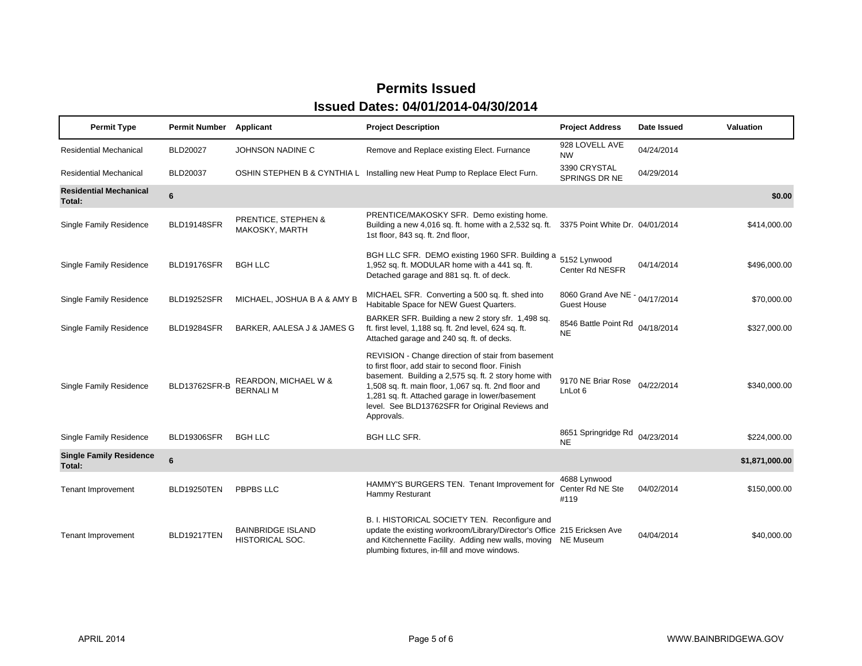| <b>Permit Type</b>                       | <b>Permit Number</b> | Applicant                                   | <b>Project Description</b>                                                                                                                                                                                                                                                                                                                   | <b>Project Address</b>                               | Date Issued | Valuation      |
|------------------------------------------|----------------------|---------------------------------------------|----------------------------------------------------------------------------------------------------------------------------------------------------------------------------------------------------------------------------------------------------------------------------------------------------------------------------------------------|------------------------------------------------------|-------------|----------------|
| <b>Residential Mechanical</b>            | <b>BLD20027</b>      | JOHNSON NADINE C                            | Remove and Replace existing Elect. Furnance                                                                                                                                                                                                                                                                                                  | 928 LOVELL AVE<br><b>NW</b>                          | 04/24/2014  |                |
| <b>Residential Mechanical</b>            | <b>BLD20037</b>      |                                             | OSHIN STEPHEN B & CYNTHIA L Installing new Heat Pump to Replace Elect Furn.                                                                                                                                                                                                                                                                  | 3390 CRYSTAL<br>SPRINGS DR NE                        | 04/29/2014  |                |
| <b>Residential Mechanical</b><br>Total:  | 6                    |                                             |                                                                                                                                                                                                                                                                                                                                              |                                                      |             | \$0.00         |
| <b>Single Family Residence</b>           | BLD19148SFR          | PRENTICE, STEPHEN &<br>MAKOSKY, MARTH       | PRENTICE/MAKOSKY SFR. Demo existing home.<br>Building a new 4,016 sq. ft. home with a 2,532 sq. ft.<br>1st floor, 843 sq. ft. 2nd floor,                                                                                                                                                                                                     | 3375 Point White Dr. 04/01/2014                      |             | \$414,000.00   |
| <b>Single Family Residence</b>           | BLD19176SFR          | <b>BGH LLC</b>                              | BGH LLC SFR. DEMO existing 1960 SFR. Building a<br>1,952 sq. ft. MODULAR home with a 441 sq. ft.<br>Detached garage and 881 sq. ft. of deck.                                                                                                                                                                                                 | 5152 Lynwood<br>Center Rd NESFR                      | 04/14/2014  | \$496,000.00   |
| <b>Single Family Residence</b>           | <b>BLD19252SFR</b>   | MICHAEL, JOSHUA B A & AMY B                 | MICHAEL SFR. Converting a 500 sq. ft. shed into<br>Habitable Space for NEW Guest Quarters.                                                                                                                                                                                                                                                   | 8060 Grand Ave NE - 04/17/2014<br><b>Guest House</b> |             | \$70,000.00    |
| <b>Single Family Residence</b>           | <b>BLD19284SFR</b>   | BARKER, AALESA J & JAMES G                  | BARKER SFR. Building a new 2 story sfr. 1,498 sq.<br>ft. first level, 1,188 sq. ft. 2nd level, 624 sq. ft.<br>Attached garage and 240 sq. ft. of decks.                                                                                                                                                                                      | 8546 Battle Point Rd<br><b>NE</b>                    | 04/18/2014  | \$327,000.00   |
| <b>Single Family Residence</b>           | BLD13762SFR-B        | REARDON, MICHAEL W &<br>BERNALI M           | REVISION - Change direction of stair from basement<br>to first floor, add stair to second floor. Finish<br>basement. Building a 2,575 sq. ft. 2 story home with<br>1,508 sq. ft. main floor, 1,067 sq. ft. 2nd floor and<br>1,281 sq. ft. Attached garage in lower/basement<br>level. See BLD13762SFR for Original Reviews and<br>Approvals. | 9170 NE Briar Rose<br>LnLot <sub>6</sub>             | 04/22/2014  | \$340,000.00   |
| <b>Single Family Residence</b>           | <b>BLD19306SFR</b>   | <b>BGH LLC</b>                              | <b>BGH LLC SFR.</b>                                                                                                                                                                                                                                                                                                                          | 8651 Springridge Rd<br><b>NE</b>                     | 04/23/2014  | \$224,000.00   |
| <b>Single Family Residence</b><br>Total: | 6                    |                                             |                                                                                                                                                                                                                                                                                                                                              |                                                      |             | \$1,871,000.00 |
| <b>Tenant Improvement</b>                | BLD19250TEN          | <b>PBPBS LLC</b>                            | HAMMY'S BURGERS TEN. Tenant Improvement for<br>Hammy Resturant                                                                                                                                                                                                                                                                               | 4688 Lynwood<br>Center Rd NE Ste<br>#119             | 04/02/2014  | \$150,000.00   |
| <b>Tenant Improvement</b>                | BLD19217TEN          | <b>BAINBRIDGE ISLAND</b><br>HISTORICAL SOC. | B. I. HISTORICAL SOCIETY TEN. Reconfigure and<br>update the existing workroom/Library/Director's Office 215 Ericksen Ave<br>and Kitchennette Facility. Adding new walls, moving<br>plumbing fixtures, in-fill and move windows.                                                                                                              | NE Museum                                            | 04/04/2014  | \$40,000.00    |